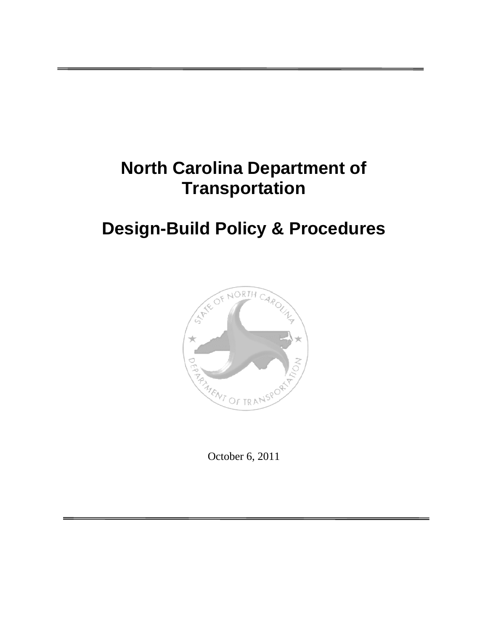# **North Carolina Department of Transportation**

# **Design-Build Policy & Procedures**



October 6, 2011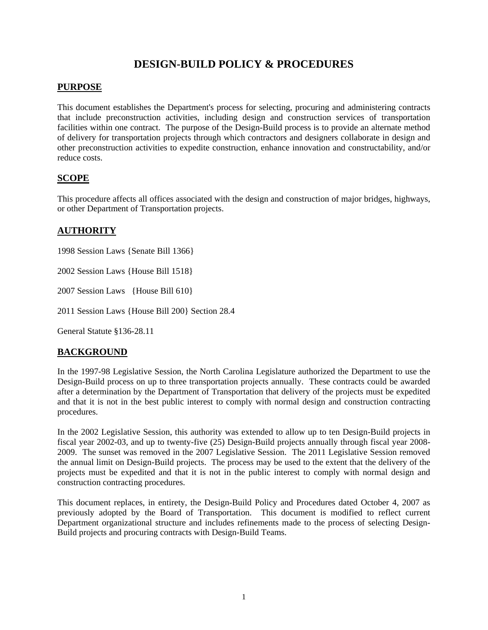# **DESIGN-BUILD POLICY & PROCEDURES**

## **PURPOSE**

This document establishes the Department's process for selecting, procuring and administering contracts that include preconstruction activities, including design and construction services of transportation facilities within one contract. The purpose of the Design-Build process is to provide an alternate method of delivery for transportation projects through which contractors and designers collaborate in design and other preconstruction activities to expedite construction, enhance innovation and constructability, and/or reduce costs.

## **SCOPE**

This procedure affects all offices associated with the design and construction of major bridges, highways, or other Department of Transportation projects.

## **AUTHORITY**

1998 Session Laws {Senate Bill 1366}

2002 Session Laws {House Bill 1518}

2007 Session Laws {House Bill 610}

2011 Session Laws {House Bill 200} Section 28.4

General Statute §136-28.11

## **BACKGROUND**

In the 1997-98 Legislative Session, the North Carolina Legislature authorized the Department to use the Design-Build process on up to three transportation projects annually. These contracts could be awarded after a determination by the Department of Transportation that delivery of the projects must be expedited and that it is not in the best public interest to comply with normal design and construction contracting procedures.

In the 2002 Legislative Session, this authority was extended to allow up to ten Design-Build projects in fiscal year 2002-03, and up to twenty-five (25) Design-Build projects annually through fiscal year 2008- 2009. The sunset was removed in the 2007 Legislative Session. The 2011 Legislative Session removed the annual limit on Design-Build projects. The process may be used to the extent that the delivery of the projects must be expedited and that it is not in the public interest to comply with normal design and construction contracting procedures.

This document replaces, in entirety, the Design-Build Policy and Procedures dated October 4, 2007 as previously adopted by the Board of Transportation. This document is modified to reflect current Department organizational structure and includes refinements made to the process of selecting Design-Build projects and procuring contracts with Design-Build Teams.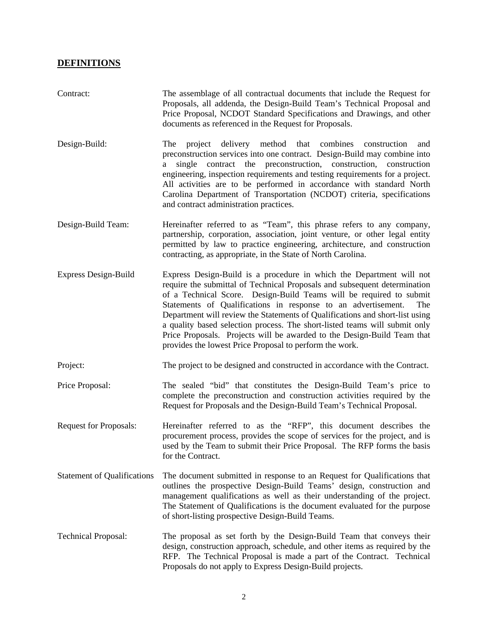## **DEFINITIONS**

| Contract:                          | The assemblage of all contractual documents that include the Request for<br>Proposals, all addenda, the Design-Build Team's Technical Proposal and<br>Price Proposal, NCDOT Standard Specifications and Drawings, and other<br>documents as referenced in the Request for Proposals.                                                                                                                                                                                                                                                                                                                 |  |  |  |
|------------------------------------|------------------------------------------------------------------------------------------------------------------------------------------------------------------------------------------------------------------------------------------------------------------------------------------------------------------------------------------------------------------------------------------------------------------------------------------------------------------------------------------------------------------------------------------------------------------------------------------------------|--|--|--|
| Design-Build:                      | project delivery method that combines construction<br>The<br>and<br>preconstruction services into one contract. Design-Build may combine into<br>single contract the preconstruction, construction, construction<br>a<br>engineering, inspection requirements and testing requirements for a project.<br>All activities are to be performed in accordance with standard North<br>Carolina Department of Transportation (NCDOT) criteria, specifications<br>and contract administration practices.                                                                                                    |  |  |  |
| Design-Build Team:                 | Hereinafter referred to as "Team", this phrase refers to any company,<br>partnership, corporation, association, joint venture, or other legal entity<br>permitted by law to practice engineering, architecture, and construction<br>contracting, as appropriate, in the State of North Carolina.                                                                                                                                                                                                                                                                                                     |  |  |  |
| Express Design-Build               | Express Design-Build is a procedure in which the Department will not<br>require the submittal of Technical Proposals and subsequent determination<br>of a Technical Score. Design-Build Teams will be required to submit<br>Statements of Qualifications in response to an advertisement.<br>The<br>Department will review the Statements of Qualifications and short-list using<br>a quality based selection process. The short-listed teams will submit only<br>Price Proposals. Projects will be awarded to the Design-Build Team that<br>provides the lowest Price Proposal to perform the work. |  |  |  |
| Project:                           | The project to be designed and constructed in accordance with the Contract.                                                                                                                                                                                                                                                                                                                                                                                                                                                                                                                          |  |  |  |
| Price Proposal:                    | The sealed "bid" that constitutes the Design-Build Team's price to<br>complete the preconstruction and construction activities required by the<br>Request for Proposals and the Design-Build Team's Technical Proposal.                                                                                                                                                                                                                                                                                                                                                                              |  |  |  |
| <b>Request for Proposals:</b>      | Hereinafter referred to as the "RFP", this document describes the<br>procurement process, provides the scope of services for the project, and is<br>used by the Team to submit their Price Proposal. The RFP forms the basis<br>for the Contract.                                                                                                                                                                                                                                                                                                                                                    |  |  |  |
| <b>Statement of Qualifications</b> | The document submitted in response to an Request for Qualifications that<br>outlines the prospective Design-Build Teams' design, construction and<br>management qualifications as well as their understanding of the project.<br>The Statement of Qualifications is the document evaluated for the purpose<br>of short-listing prospective Design-Build Teams.                                                                                                                                                                                                                                       |  |  |  |
| <b>Technical Proposal:</b>         | The proposal as set forth by the Design-Build Team that conveys their<br>design, construction approach, schedule, and other items as required by the<br>RFP. The Technical Proposal is made a part of the Contract. Technical<br>Proposals do not apply to Express Design-Build projects.                                                                                                                                                                                                                                                                                                            |  |  |  |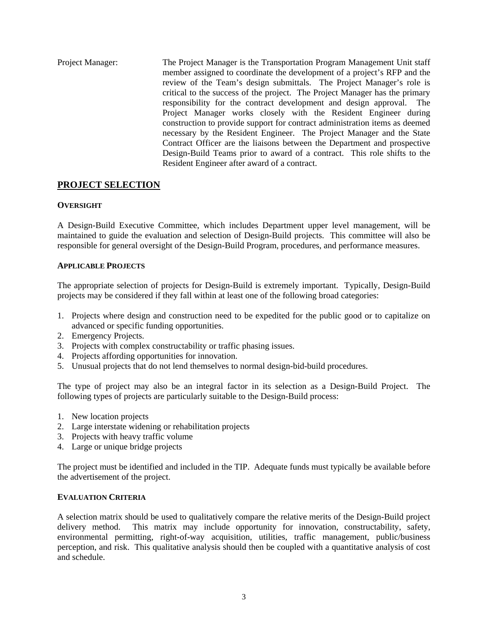Project Manager: The Project Manager is the Transportation Program Management Unit staff member assigned to coordinate the development of a project's RFP and the review of the Team's design submittals. The Project Manager's role is critical to the success of the project. The Project Manager has the primary responsibility for the contract development and design approval. The Project Manager works closely with the Resident Engineer during construction to provide support for contract administration items as deemed necessary by the Resident Engineer. The Project Manager and the State Contract Officer are the liaisons between the Department and prospective Design-Build Teams prior to award of a contract. This role shifts to the Resident Engineer after award of a contract.

## **PROJECT SELECTION**

## **OVERSIGHT**

A Design-Build Executive Committee, which includes Department upper level management, will be maintained to guide the evaluation and selection of Design-Build projects. This committee will also be responsible for general oversight of the Design-Build Program, procedures, and performance measures.

## **APPLICABLE PROJECTS**

The appropriate selection of projects for Design-Build is extremely important. Typically, Design-Build projects may be considered if they fall within at least one of the following broad categories:

- 1. Projects where design and construction need to be expedited for the public good or to capitalize on advanced or specific funding opportunities.
- 2. Emergency Projects.
- 3. Projects with complex constructability or traffic phasing issues.
- 4. Projects affording opportunities for innovation.
- 5. Unusual projects that do not lend themselves to normal design-bid-build procedures.

The type of project may also be an integral factor in its selection as a Design-Build Project. The following types of projects are particularly suitable to the Design-Build process:

- 1. New location projects
- 2. Large interstate widening or rehabilitation projects
- 3. Projects with heavy traffic volume
- 4. Large or unique bridge projects

The project must be identified and included in the TIP. Adequate funds must typically be available before the advertisement of the project.

## **EVALUATION CRITERIA**

A selection matrix should be used to qualitatively compare the relative merits of the Design-Build project delivery method. This matrix may include opportunity for innovation, constructability, safety, environmental permitting, right-of-way acquisition, utilities, traffic management, public/business perception, and risk. This qualitative analysis should then be coupled with a quantitative analysis of cost and schedule.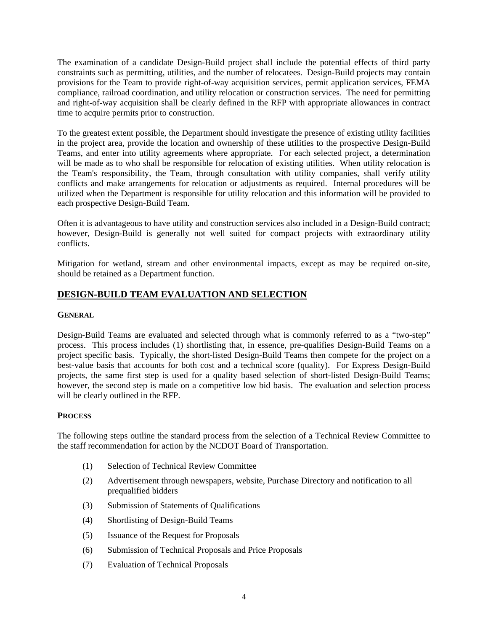The examination of a candidate Design-Build project shall include the potential effects of third party constraints such as permitting, utilities, and the number of relocatees. Design-Build projects may contain provisions for the Team to provide right-of-way acquisition services, permit application services, FEMA compliance, railroad coordination, and utility relocation or construction services. The need for permitting and right-of-way acquisition shall be clearly defined in the RFP with appropriate allowances in contract time to acquire permits prior to construction.

To the greatest extent possible, the Department should investigate the presence of existing utility facilities in the project area, provide the location and ownership of these utilities to the prospective Design-Build Teams, and enter into utility agreements where appropriate. For each selected project, a determination will be made as to who shall be responsible for relocation of existing utilities. When utility relocation is the Team's responsibility, the Team, through consultation with utility companies, shall verify utility conflicts and make arrangements for relocation or adjustments as required. Internal procedures will be utilized when the Department is responsible for utility relocation and this information will be provided to each prospective Design-Build Team.

Often it is advantageous to have utility and construction services also included in a Design-Build contract; however, Design-Build is generally not well suited for compact projects with extraordinary utility conflicts.

Mitigation for wetland, stream and other environmental impacts, except as may be required on-site, should be retained as a Department function.

## **DESIGN-BUILD TEAM EVALUATION AND SELECTION**

## **GENERAL**

Design-Build Teams are evaluated and selected through what is commonly referred to as a "two-step" process. This process includes (1) shortlisting that, in essence, pre-qualifies Design-Build Teams on a project specific basis. Typically, the short-listed Design-Build Teams then compete for the project on a best-value basis that accounts for both cost and a technical score (quality). For Express Design-Build projects, the same first step is used for a quality based selection of short-listed Design-Build Teams; however, the second step is made on a competitive low bid basis. The evaluation and selection process will be clearly outlined in the RFP.

## **PROCESS**

The following steps outline the standard process from the selection of a Technical Review Committee to the staff recommendation for action by the NCDOT Board of Transportation.

- (1) Selection of Technical Review Committee
- (2) Advertisement through newspapers, website, Purchase Directory and notification to all prequalified bidders
- (3) Submission of Statements of Qualifications
- (4) Shortlisting of Design-Build Teams
- (5) Issuance of the Request for Proposals
- (6) Submission of Technical Proposals and Price Proposals
- (7) Evaluation of Technical Proposals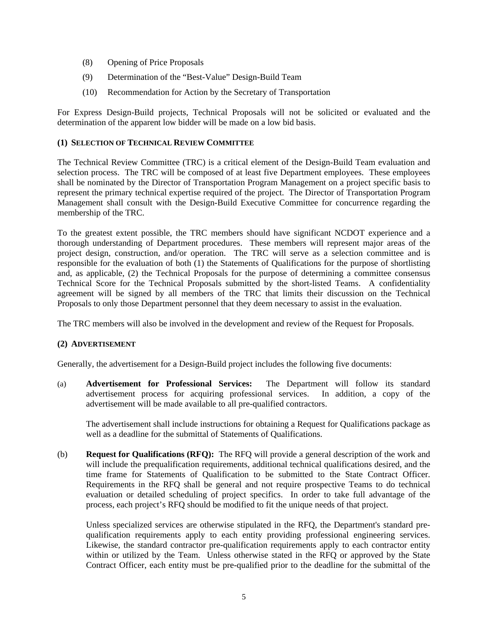- (8) Opening of Price Proposals
- (9) Determination of the "Best-Value" Design-Build Team
- (10) Recommendation for Action by the Secretary of Transportation

For Express Design-Build projects, Technical Proposals will not be solicited or evaluated and the determination of the apparent low bidder will be made on a low bid basis.

## **(1) SELECTION OF TECHNICAL REVIEW COMMITTEE**

The Technical Review Committee (TRC) is a critical element of the Design-Build Team evaluation and selection process. The TRC will be composed of at least five Department employees. These employees shall be nominated by the Director of Transportation Program Management on a project specific basis to represent the primary technical expertise required of the project. The Director of Transportation Program Management shall consult with the Design-Build Executive Committee for concurrence regarding the membership of the TRC.

To the greatest extent possible, the TRC members should have significant NCDOT experience and a thorough understanding of Department procedures. These members will represent major areas of the project design, construction, and/or operation. The TRC will serve as a selection committee and is responsible for the evaluation of both (1) the Statements of Qualifications for the purpose of shortlisting and, as applicable, (2) the Technical Proposals for the purpose of determining a committee consensus Technical Score for the Technical Proposals submitted by the short-listed Teams. A confidentiality agreement will be signed by all members of the TRC that limits their discussion on the Technical Proposals to only those Department personnel that they deem necessary to assist in the evaluation.

The TRC members will also be involved in the development and review of the Request for Proposals.

## **(2) ADVERTISEMENT**

Generally, the advertisement for a Design-Build project includes the following five documents:

(a) **Advertisement for Professional Services:** The Department will follow its standard advertisement process for acquiring professional services. In addition, a copy of the advertisement will be made available to all pre-qualified contractors.

 The advertisement shall include instructions for obtaining a Request for Qualifications package as well as a deadline for the submittal of Statements of Qualifications.

(b) **Request for Qualifications (RFQ):** The RFQ will provide a general description of the work and will include the prequalification requirements, additional technical qualifications desired, and the time frame for Statements of Qualification to be submitted to the State Contract Officer. Requirements in the RFQ shall be general and not require prospective Teams to do technical evaluation or detailed scheduling of project specifics. In order to take full advantage of the process, each project's RFQ should be modified to fit the unique needs of that project.

Unless specialized services are otherwise stipulated in the RFQ, the Department's standard prequalification requirements apply to each entity providing professional engineering services. Likewise, the standard contractor pre-qualification requirements apply to each contractor entity within or utilized by the Team. Unless otherwise stated in the RFQ or approved by the State Contract Officer, each entity must be pre-qualified prior to the deadline for the submittal of the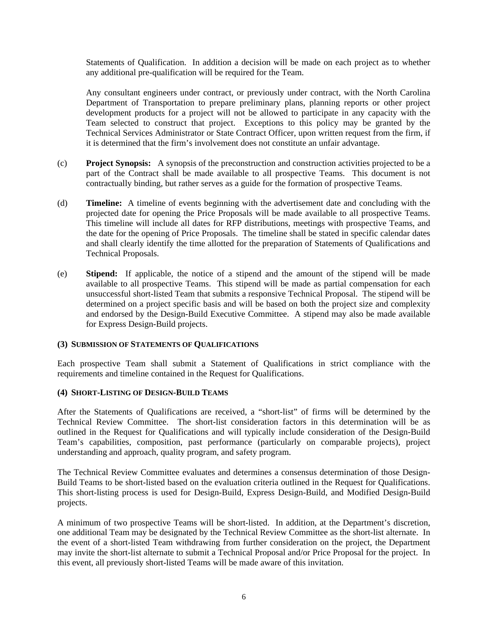Statements of Qualification. In addition a decision will be made on each project as to whether any additional pre-qualification will be required for the Team.

Any consultant engineers under contract, or previously under contract, with the North Carolina Department of Transportation to prepare preliminary plans, planning reports or other project development products for a project will not be allowed to participate in any capacity with the Team selected to construct that project. Exceptions to this policy may be granted by the Technical Services Administrator or State Contract Officer, upon written request from the firm, if it is determined that the firm's involvement does not constitute an unfair advantage.

- (c) **Project Synopsis:** A synopsis of the preconstruction and construction activities projected to be a part of the Contract shall be made available to all prospective Teams. This document is not contractually binding, but rather serves as a guide for the formation of prospective Teams.
- (d) **Timeline:** A timeline of events beginning with the advertisement date and concluding with the projected date for opening the Price Proposals will be made available to all prospective Teams. This timeline will include all dates for RFP distributions, meetings with prospective Teams, and the date for the opening of Price Proposals. The timeline shall be stated in specific calendar dates and shall clearly identify the time allotted for the preparation of Statements of Qualifications and Technical Proposals.
- (e) **Stipend:** If applicable, the notice of a stipend and the amount of the stipend will be made available to all prospective Teams. This stipend will be made as partial compensation for each unsuccessful short-listed Team that submits a responsive Technical Proposal. The stipend will be determined on a project specific basis and will be based on both the project size and complexity and endorsed by the Design-Build Executive Committee. A stipend may also be made available for Express Design-Build projects.

#### **(3) SUBMISSION OF STATEMENTS OF QUALIFICATIONS**

Each prospective Team shall submit a Statement of Qualifications in strict compliance with the requirements and timeline contained in the Request for Qualifications.

#### **(4) SHORT-LISTING OF DESIGN-BUILD TEAMS**

After the Statements of Qualifications are received, a "short-list" of firms will be determined by the Technical Review Committee. The short-list consideration factors in this determination will be as outlined in the Request for Qualifications and will typically include consideration of the Design-Build Team's capabilities, composition, past performance (particularly on comparable projects), project understanding and approach, quality program, and safety program.

The Technical Review Committee evaluates and determines a consensus determination of those Design-Build Teams to be short-listed based on the evaluation criteria outlined in the Request for Qualifications. This short-listing process is used for Design-Build, Express Design-Build, and Modified Design-Build projects.

A minimum of two prospective Teams will be short-listed. In addition, at the Department's discretion, one additional Team may be designated by the Technical Review Committee as the short-list alternate. In the event of a short-listed Team withdrawing from further consideration on the project, the Department may invite the short-list alternate to submit a Technical Proposal and/or Price Proposal for the project. In this event, all previously short-listed Teams will be made aware of this invitation.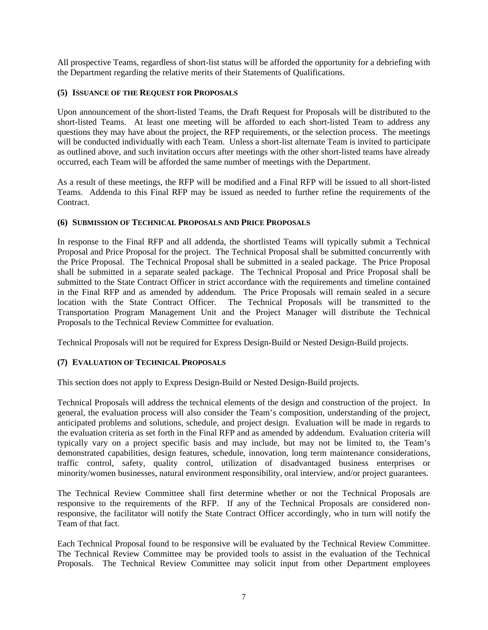All prospective Teams, regardless of short-list status will be afforded the opportunity for a debriefing with the Department regarding the relative merits of their Statements of Qualifications.

## **(5) ISSUANCE OF THE REQUEST FOR PROPOSALS**

Upon announcement of the short-listed Teams, the Draft Request for Proposals will be distributed to the short-listed Teams. At least one meeting will be afforded to each short-listed Team to address any questions they may have about the project, the RFP requirements, or the selection process. The meetings will be conducted individually with each Team. Unless a short-list alternate Team is invited to participate as outlined above, and such invitation occurs after meetings with the other short-listed teams have already occurred, each Team will be afforded the same number of meetings with the Department.

As a result of these meetings, the RFP will be modified and a Final RFP will be issued to all short-listed Teams. Addenda to this Final RFP may be issued as needed to further refine the requirements of the Contract.

## **(6) SUBMISSION OF TECHNICAL PROPOSALS AND PRICE PROPOSALS**

In response to the Final RFP and all addenda, the shortlisted Teams will typically submit a Technical Proposal and Price Proposal for the project. The Technical Proposal shall be submitted concurrently with the Price Proposal. The Technical Proposal shall be submitted in a sealed package. The Price Proposal shall be submitted in a separate sealed package. The Technical Proposal and Price Proposal shall be submitted to the State Contract Officer in strict accordance with the requirements and timeline contained in the Final RFP and as amended by addendum. The Price Proposals will remain sealed in a secure location with the State Contract Officer. The Technical Proposals will be transmitted to the Transportation Program Management Unit and the Project Manager will distribute the Technical Proposals to the Technical Review Committee for evaluation.

Technical Proposals will not be required for Express Design-Build or Nested Design-Build projects.

## **(7) EVALUATION OF TECHNICAL PROPOSALS**

This section does not apply to Express Design-Build or Nested Design-Build projects.

Technical Proposals will address the technical elements of the design and construction of the project. In general, the evaluation process will also consider the Team's composition, understanding of the project, anticipated problems and solutions, schedule, and project design. Evaluation will be made in regards to the evaluation criteria as set forth in the Final RFP and as amended by addendum. Evaluation criteria will typically vary on a project specific basis and may include, but may not be limited to, the Team's demonstrated capabilities, design features, schedule, innovation, long term maintenance considerations, traffic control, safety, quality control, utilization of disadvantaged business enterprises or minority/women businesses, natural environment responsibility, oral interview, and/or project guarantees.

The Technical Review Committee shall first determine whether or not the Technical Proposals are responsive to the requirements of the RFP. If any of the Technical Proposals are considered nonresponsive, the facilitator will notify the State Contract Officer accordingly, who in turn will notify the Team of that fact.

Each Technical Proposal found to be responsive will be evaluated by the Technical Review Committee. The Technical Review Committee may be provided tools to assist in the evaluation of the Technical Proposals. The Technical Review Committee may solicit input from other Department employees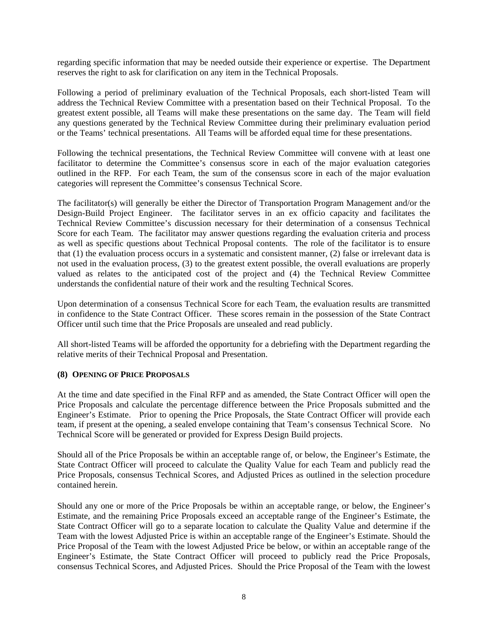regarding specific information that may be needed outside their experience or expertise. The Department reserves the right to ask for clarification on any item in the Technical Proposals.

Following a period of preliminary evaluation of the Technical Proposals, each short-listed Team will address the Technical Review Committee with a presentation based on their Technical Proposal. To the greatest extent possible, all Teams will make these presentations on the same day. The Team will field any questions generated by the Technical Review Committee during their preliminary evaluation period or the Teams' technical presentations. All Teams will be afforded equal time for these presentations.

Following the technical presentations, the Technical Review Committee will convene with at least one facilitator to determine the Committee's consensus score in each of the major evaluation categories outlined in the RFP. For each Team, the sum of the consensus score in each of the major evaluation categories will represent the Committee's consensus Technical Score.

The facilitator(s) will generally be either the Director of Transportation Program Management and/or the Design-Build Project Engineer. The facilitator serves in an ex officio capacity and facilitates the Technical Review Committee's discussion necessary for their determination of a consensus Technical Score for each Team. The facilitator may answer questions regarding the evaluation criteria and process as well as specific questions about Technical Proposal contents. The role of the facilitator is to ensure that (1) the evaluation process occurs in a systematic and consistent manner, (2) false or irrelevant data is not used in the evaluation process, (3) to the greatest extent possible, the overall evaluations are properly valued as relates to the anticipated cost of the project and (4) the Technical Review Committee understands the confidential nature of their work and the resulting Technical Scores.

Upon determination of a consensus Technical Score for each Team, the evaluation results are transmitted in confidence to the State Contract Officer. These scores remain in the possession of the State Contract Officer until such time that the Price Proposals are unsealed and read publicly.

All short-listed Teams will be afforded the opportunity for a debriefing with the Department regarding the relative merits of their Technical Proposal and Presentation.

## **(8) OPENING OF PRICE PROPOSALS**

At the time and date specified in the Final RFP and as amended, the State Contract Officer will open the Price Proposals and calculate the percentage difference between the Price Proposals submitted and the Engineer's Estimate. Prior to opening the Price Proposals, the State Contract Officer will provide each team, if present at the opening, a sealed envelope containing that Team's consensus Technical Score. No Technical Score will be generated or provided for Express Design Build projects.

Should all of the Price Proposals be within an acceptable range of, or below, the Engineer's Estimate, the State Contract Officer will proceed to calculate the Quality Value for each Team and publicly read the Price Proposals, consensus Technical Scores, and Adjusted Prices as outlined in the selection procedure contained herein.

Should any one or more of the Price Proposals be within an acceptable range, or below, the Engineer's Estimate, and the remaining Price Proposals exceed an acceptable range of the Engineer's Estimate, the State Contract Officer will go to a separate location to calculate the Quality Value and determine if the Team with the lowest Adjusted Price is within an acceptable range of the Engineer's Estimate. Should the Price Proposal of the Team with the lowest Adjusted Price be below, or within an acceptable range of the Engineer's Estimate, the State Contract Officer will proceed to publicly read the Price Proposals, consensus Technical Scores, and Adjusted Prices. Should the Price Proposal of the Team with the lowest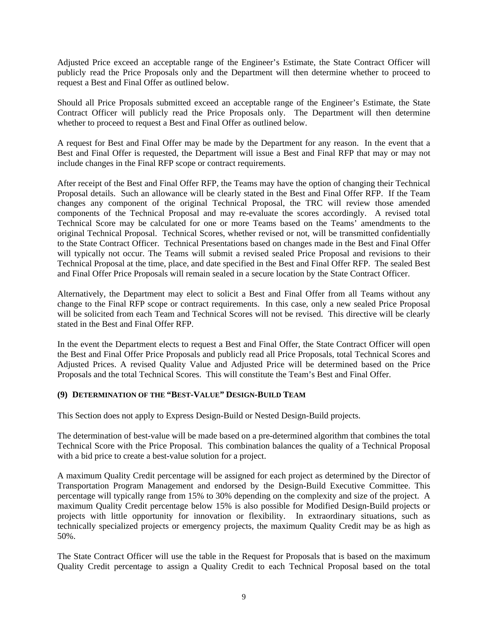Adjusted Price exceed an acceptable range of the Engineer's Estimate, the State Contract Officer will publicly read the Price Proposals only and the Department will then determine whether to proceed to request a Best and Final Offer as outlined below.

Should all Price Proposals submitted exceed an acceptable range of the Engineer's Estimate, the State Contract Officer will publicly read the Price Proposals only. The Department will then determine whether to proceed to request a Best and Final Offer as outlined below.

A request for Best and Final Offer may be made by the Department for any reason. In the event that a Best and Final Offer is requested, the Department will issue a Best and Final RFP that may or may not include changes in the Final RFP scope or contract requirements.

After receipt of the Best and Final Offer RFP, the Teams may have the option of changing their Technical Proposal details. Such an allowance will be clearly stated in the Best and Final Offer RFP. If the Team changes any component of the original Technical Proposal, the TRC will review those amended components of the Technical Proposal and may re-evaluate the scores accordingly. A revised total Technical Score may be calculated for one or more Teams based on the Teams' amendments to the original Technical Proposal. Technical Scores, whether revised or not, will be transmitted confidentially to the State Contract Officer. Technical Presentations based on changes made in the Best and Final Offer will typically not occur. The Teams will submit a revised sealed Price Proposal and revisions to their Technical Proposal at the time, place, and date specified in the Best and Final Offer RFP. The sealed Best and Final Offer Price Proposals will remain sealed in a secure location by the State Contract Officer.

Alternatively, the Department may elect to solicit a Best and Final Offer from all Teams without any change to the Final RFP scope or contract requirements. In this case, only a new sealed Price Proposal will be solicited from each Team and Technical Scores will not be revised. This directive will be clearly stated in the Best and Final Offer RFP.

In the event the Department elects to request a Best and Final Offer, the State Contract Officer will open the Best and Final Offer Price Proposals and publicly read all Price Proposals, total Technical Scores and Adjusted Prices. A revised Quality Value and Adjusted Price will be determined based on the Price Proposals and the total Technical Scores. This will constitute the Team's Best and Final Offer.

## **(9) DETERMINATION OF THE "BEST-VALUE" DESIGN-BUILD TEAM**

This Section does not apply to Express Design-Build or Nested Design-Build projects.

The determination of best-value will be made based on a pre-determined algorithm that combines the total Technical Score with the Price Proposal. This combination balances the quality of a Technical Proposal with a bid price to create a best-value solution for a project.

A maximum Quality Credit percentage will be assigned for each project as determined by the Director of Transportation Program Management and endorsed by the Design-Build Executive Committee. This percentage will typically range from 15% to 30% depending on the complexity and size of the project. A maximum Quality Credit percentage below 15% is also possible for Modified Design-Build projects or projects with little opportunity for innovation or flexibility. In extraordinary situations, such as technically specialized projects or emergency projects, the maximum Quality Credit may be as high as 50%.

The State Contract Officer will use the table in the Request for Proposals that is based on the maximum Quality Credit percentage to assign a Quality Credit to each Technical Proposal based on the total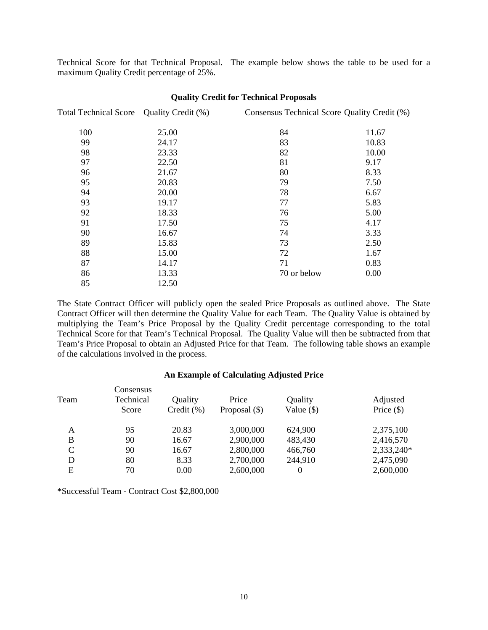Technical Score for that Technical Proposal. The example below shows the table to be used for a maximum Quality Credit percentage of 25%.

| Total Technical Score Quality Credit (%) |       | Consensus Technical Score Quality Credit (%) |       |  |
|------------------------------------------|-------|----------------------------------------------|-------|--|
| 100                                      | 25.00 | 84                                           | 11.67 |  |
| 99                                       | 24.17 | 83                                           | 10.83 |  |
| 98                                       | 23.33 | 82                                           | 10.00 |  |
| 97                                       | 22.50 | 81                                           | 9.17  |  |
| 96                                       | 21.67 | 80                                           | 8.33  |  |
| 95                                       | 20.83 | 79                                           | 7.50  |  |
| 94                                       | 20.00 | 78                                           | 6.67  |  |
| 93                                       | 19.17 | 77                                           | 5.83  |  |
| 92                                       | 18.33 | 76                                           | 5.00  |  |
| 91                                       | 17.50 | 75                                           | 4.17  |  |
| 90                                       | 16.67 | 74                                           | 3.33  |  |
| 89                                       | 15.83 | 73                                           | 2.50  |  |
| 88                                       | 15.00 | 72                                           | 1.67  |  |
| 87                                       | 14.17 | 71                                           | 0.83  |  |
| 86                                       | 13.33 | 70 or below                                  | 0.00  |  |
| 85                                       | 12.50 |                                              |       |  |

#### **Quality Credit for Technical Proposals**

The State Contract Officer will publicly open the sealed Price Proposals as outlined above. The State Contract Officer will then determine the Quality Value for each Team. The Quality Value is obtained by multiplying the Team's Price Proposal by the Quality Credit percentage corresponding to the total Technical Score for that Team's Technical Proposal. The Quality Value will then be subtracted from that Team's Price Proposal to obtain an Adjusted Price for that Team. The following table shows an example of the calculations involved in the process.

#### **An Example of Calculating Adjusted Price**

|      | Consensus |                |                 |              |              |
|------|-----------|----------------|-----------------|--------------|--------------|
| Team | Technical | Quality        | Price           | Quality      | Adjusted     |
|      | Score     | Credit $(\% )$ | Proposal $(\$)$ | Value $(\$)$ | Price $(\$)$ |
| A    | 95        | 20.83          | 3,000,000       | 624,900      | 2,375,100    |
| B    | 90        | 16.67          | 2,900,000       | 483,430      | 2,416,570    |
| C    | 90        | 16.67          | 2,800,000       | 466,760      | 2,333,240*   |
| D    | 80        | 8.33           | 2,700,000       | 244,910      | 2,475,090    |
| Ε    | 70        | 0.00           | 2,600,000       |              | 2,600,000    |

\*Successful Team - Contract Cost \$2,800,000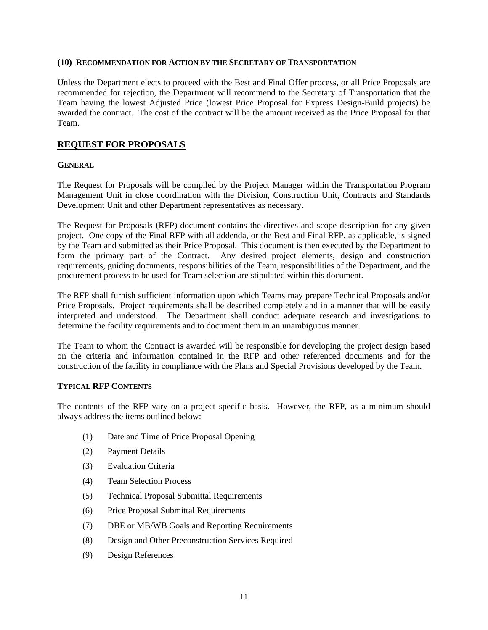#### **(10) RECOMMENDATION FOR ACTION BY THE SECRETARY OF TRANSPORTATION**

Unless the Department elects to proceed with the Best and Final Offer process, or all Price Proposals are recommended for rejection, the Department will recommend to the Secretary of Transportation that the Team having the lowest Adjusted Price (lowest Price Proposal for Express Design-Build projects) be awarded the contract. The cost of the contract will be the amount received as the Price Proposal for that Team.

## **REQUEST FOR PROPOSALS**

#### **GENERAL**

The Request for Proposals will be compiled by the Project Manager within the Transportation Program Management Unit in close coordination with the Division, Construction Unit, Contracts and Standards Development Unit and other Department representatives as necessary.

The Request for Proposals (RFP) document contains the directives and scope description for any given project. One copy of the Final RFP with all addenda, or the Best and Final RFP, as applicable, is signed by the Team and submitted as their Price Proposal. This document is then executed by the Department to form the primary part of the Contract. Any desired project elements, design and construction requirements, guiding documents, responsibilities of the Team, responsibilities of the Department, and the procurement process to be used for Team selection are stipulated within this document.

The RFP shall furnish sufficient information upon which Teams may prepare Technical Proposals and/or Price Proposals. Project requirements shall be described completely and in a manner that will be easily interpreted and understood. The Department shall conduct adequate research and investigations to determine the facility requirements and to document them in an unambiguous manner.

The Team to whom the Contract is awarded will be responsible for developing the project design based on the criteria and information contained in the RFP and other referenced documents and for the construction of the facility in compliance with the Plans and Special Provisions developed by the Team.

#### **TYPICAL RFP CONTENTS**

The contents of the RFP vary on a project specific basis. However, the RFP, as a minimum should always address the items outlined below:

- (1) Date and Time of Price Proposal Opening
- (2) Payment Details
- (3) Evaluation Criteria
- (4) Team Selection Process
- (5) Technical Proposal Submittal Requirements
- (6) Price Proposal Submittal Requirements
- (7) DBE or MB/WB Goals and Reporting Requirements
- (8) Design and Other Preconstruction Services Required
- (9) Design References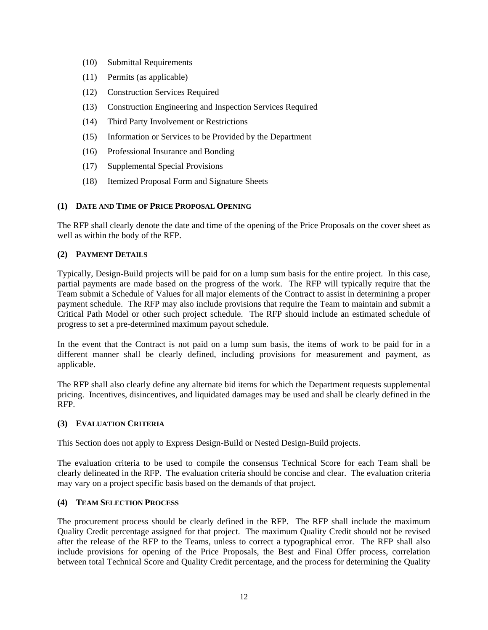- (10) Submittal Requirements
- (11) Permits (as applicable)
- (12) Construction Services Required
- (13) Construction Engineering and Inspection Services Required
- (14) Third Party Involvement or Restrictions
- (15) Information or Services to be Provided by the Department
- (16) Professional Insurance and Bonding
- (17) Supplemental Special Provisions
- (18) Itemized Proposal Form and Signature Sheets

## **(1) DATE AND TIME OF PRICE PROPOSAL OPENING**

The RFP shall clearly denote the date and time of the opening of the Price Proposals on the cover sheet as well as within the body of the RFP.

## **(2) PAYMENT DETAILS**

Typically, Design-Build projects will be paid for on a lump sum basis for the entire project. In this case, partial payments are made based on the progress of the work. The RFP will typically require that the Team submit a Schedule of Values for all major elements of the Contract to assist in determining a proper payment schedule. The RFP may also include provisions that require the Team to maintain and submit a Critical Path Model or other such project schedule. The RFP should include an estimated schedule of progress to set a pre-determined maximum payout schedule.

In the event that the Contract is not paid on a lump sum basis, the items of work to be paid for in a different manner shall be clearly defined, including provisions for measurement and payment, as applicable.

The RFP shall also clearly define any alternate bid items for which the Department requests supplemental pricing. Incentives, disincentives, and liquidated damages may be used and shall be clearly defined in the RFP.

## **(3) EVALUATION CRITERIA**

This Section does not apply to Express Design-Build or Nested Design-Build projects.

The evaluation criteria to be used to compile the consensus Technical Score for each Team shall be clearly delineated in the RFP. The evaluation criteria should be concise and clear. The evaluation criteria may vary on a project specific basis based on the demands of that project.

## **(4) TEAM SELECTION PROCESS**

The procurement process should be clearly defined in the RFP. The RFP shall include the maximum Quality Credit percentage assigned for that project. The maximum Quality Credit should not be revised after the release of the RFP to the Teams, unless to correct a typographical error. The RFP shall also include provisions for opening of the Price Proposals, the Best and Final Offer process, correlation between total Technical Score and Quality Credit percentage, and the process for determining the Quality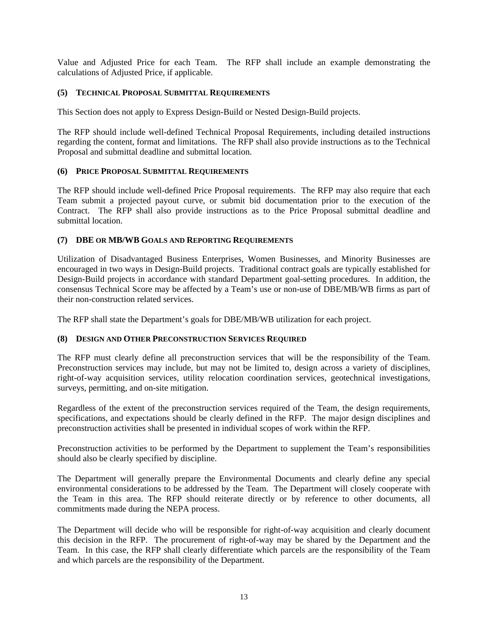Value and Adjusted Price for each Team. The RFP shall include an example demonstrating the calculations of Adjusted Price, if applicable.

## **(5) TECHNICAL PROPOSAL SUBMITTAL REQUIREMENTS**

This Section does not apply to Express Design-Build or Nested Design-Build projects.

The RFP should include well-defined Technical Proposal Requirements, including detailed instructions regarding the content, format and limitations. The RFP shall also provide instructions as to the Technical Proposal and submittal deadline and submittal location.

## **(6) PRICE PROPOSAL SUBMITTAL REQUIREMENTS**

The RFP should include well-defined Price Proposal requirements. The RFP may also require that each Team submit a projected payout curve, or submit bid documentation prior to the execution of the Contract. The RFP shall also provide instructions as to the Price Proposal submittal deadline and submittal location.

#### **(7) DBE OR MB/WB GOALS AND REPORTING REQUIREMENTS**

Utilization of Disadvantaged Business Enterprises, Women Businesses, and Minority Businesses are encouraged in two ways in Design-Build projects. Traditional contract goals are typically established for Design-Build projects in accordance with standard Department goal-setting procedures. In addition, the consensus Technical Score may be affected by a Team's use or non-use of DBE/MB/WB firms as part of their non-construction related services.

The RFP shall state the Department's goals for DBE/MB/WB utilization for each project.

## **(8) DESIGN AND OTHER PRECONSTRUCTION SERVICES REQUIRED**

The RFP must clearly define all preconstruction services that will be the responsibility of the Team. Preconstruction services may include, but may not be limited to, design across a variety of disciplines, right-of-way acquisition services, utility relocation coordination services, geotechnical investigations, surveys, permitting, and on-site mitigation.

Regardless of the extent of the preconstruction services required of the Team, the design requirements, specifications, and expectations should be clearly defined in the RFP. The major design disciplines and preconstruction activities shall be presented in individual scopes of work within the RFP.

Preconstruction activities to be performed by the Department to supplement the Team's responsibilities should also be clearly specified by discipline.

The Department will generally prepare the Environmental Documents and clearly define any special environmental considerations to be addressed by the Team. The Department will closely cooperate with the Team in this area. The RFP should reiterate directly or by reference to other documents, all commitments made during the NEPA process.

The Department will decide who will be responsible for right-of-way acquisition and clearly document this decision in the RFP. The procurement of right-of-way may be shared by the Department and the Team. In this case, the RFP shall clearly differentiate which parcels are the responsibility of the Team and which parcels are the responsibility of the Department.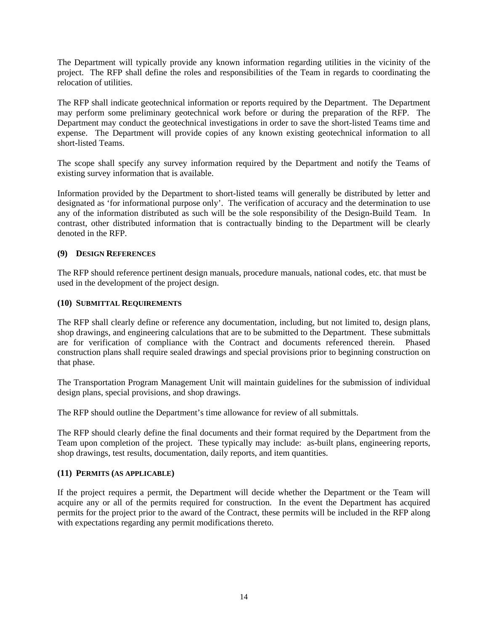The Department will typically provide any known information regarding utilities in the vicinity of the project. The RFP shall define the roles and responsibilities of the Team in regards to coordinating the relocation of utilities.

The RFP shall indicate geotechnical information or reports required by the Department. The Department may perform some preliminary geotechnical work before or during the preparation of the RFP. The Department may conduct the geotechnical investigations in order to save the short-listed Teams time and expense. The Department will provide copies of any known existing geotechnical information to all short-listed Teams.

The scope shall specify any survey information required by the Department and notify the Teams of existing survey information that is available.

Information provided by the Department to short-listed teams will generally be distributed by letter and designated as 'for informational purpose only'. The verification of accuracy and the determination to use any of the information distributed as such will be the sole responsibility of the Design-Build Team. In contrast, other distributed information that is contractually binding to the Department will be clearly denoted in the RFP.

## **(9) DESIGN REFERENCES**

The RFP should reference pertinent design manuals, procedure manuals, national codes, etc. that must be used in the development of the project design.

#### **(10) SUBMITTAL REQUIREMENTS**

The RFP shall clearly define or reference any documentation, including, but not limited to, design plans, shop drawings, and engineering calculations that are to be submitted to the Department. These submittals are for verification of compliance with the Contract and documents referenced therein. Phased construction plans shall require sealed drawings and special provisions prior to beginning construction on that phase.

The Transportation Program Management Unit will maintain guidelines for the submission of individual design plans, special provisions, and shop drawings.

The RFP should outline the Department's time allowance for review of all submittals.

The RFP should clearly define the final documents and their format required by the Department from the Team upon completion of the project. These typically may include: as-built plans, engineering reports, shop drawings, test results, documentation, daily reports, and item quantities.

#### **(11) PERMITS (AS APPLICABLE)**

If the project requires a permit, the Department will decide whether the Department or the Team will acquire any or all of the permits required for construction. In the event the Department has acquired permits for the project prior to the award of the Contract, these permits will be included in the RFP along with expectations regarding any permit modifications thereto.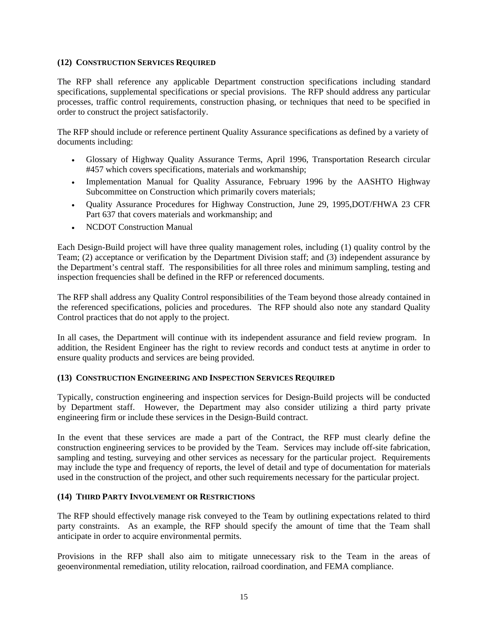#### **(12) CONSTRUCTION SERVICES REQUIRED**

The RFP shall reference any applicable Department construction specifications including standard specifications, supplemental specifications or special provisions. The RFP should address any particular processes, traffic control requirements, construction phasing, or techniques that need to be specified in order to construct the project satisfactorily.

The RFP should include or reference pertinent Quality Assurance specifications as defined by a variety of documents including:

- Glossary of Highway Quality Assurance Terms, April 1996, Transportation Research circular #457 which covers specifications, materials and workmanship;
- Implementation Manual for Quality Assurance, February 1996 by the AASHTO Highway Subcommittee on Construction which primarily covers materials;
- Quality Assurance Procedures for Highway Construction, June 29, 1995,DOT/FHWA 23 CFR Part 637 that covers materials and workmanship; and
- NCDOT Construction Manual

Each Design-Build project will have three quality management roles, including (1) quality control by the Team; (2) acceptance or verification by the Department Division staff; and (3) independent assurance by the Department's central staff. The responsibilities for all three roles and minimum sampling, testing and inspection frequencies shall be defined in the RFP or referenced documents.

The RFP shall address any Quality Control responsibilities of the Team beyond those already contained in the referenced specifications, policies and procedures. The RFP should also note any standard Quality Control practices that do not apply to the project.

In all cases, the Department will continue with its independent assurance and field review program. In addition, the Resident Engineer has the right to review records and conduct tests at anytime in order to ensure quality products and services are being provided.

## **(13) CONSTRUCTION ENGINEERING AND INSPECTION SERVICES REQUIRED**

Typically, construction engineering and inspection services for Design-Build projects will be conducted by Department staff. However, the Department may also consider utilizing a third party private engineering firm or include these services in the Design-Build contract.

In the event that these services are made a part of the Contract, the RFP must clearly define the construction engineering services to be provided by the Team. Services may include off-site fabrication, sampling and testing, surveying and other services as necessary for the particular project. Requirements may include the type and frequency of reports, the level of detail and type of documentation for materials used in the construction of the project, and other such requirements necessary for the particular project.

## **(14) THIRD PARTY INVOLVEMENT OR RESTRICTIONS**

The RFP should effectively manage risk conveyed to the Team by outlining expectations related to third party constraints. As an example, the RFP should specify the amount of time that the Team shall anticipate in order to acquire environmental permits.

Provisions in the RFP shall also aim to mitigate unnecessary risk to the Team in the areas of geoenvironmental remediation, utility relocation, railroad coordination, and FEMA compliance.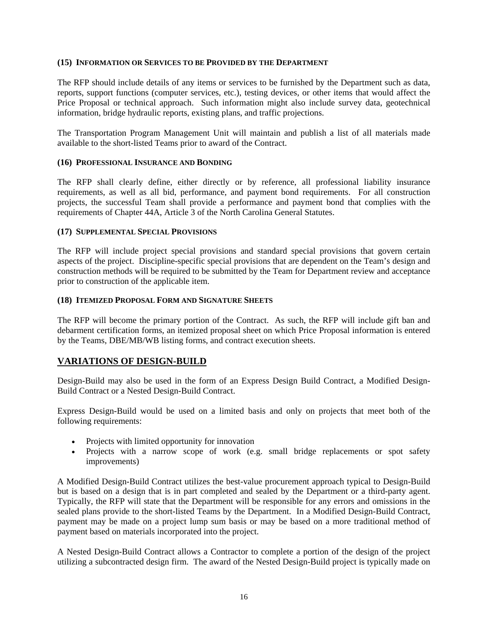#### **(15) INFORMATION OR SERVICES TO BE PROVIDED BY THE DEPARTMENT**

The RFP should include details of any items or services to be furnished by the Department such as data, reports, support functions (computer services, etc.), testing devices, or other items that would affect the Price Proposal or technical approach. Such information might also include survey data, geotechnical information, bridge hydraulic reports, existing plans, and traffic projections.

The Transportation Program Management Unit will maintain and publish a list of all materials made available to the short-listed Teams prior to award of the Contract.

## **(16) PROFESSIONAL INSURANCE AND BONDING**

The RFP shall clearly define, either directly or by reference, all professional liability insurance requirements, as well as all bid, performance, and payment bond requirements. For all construction projects, the successful Team shall provide a performance and payment bond that complies with the requirements of Chapter 44A, Article 3 of the North Carolina General Statutes.

## **(17) SUPPLEMENTAL SPECIAL PROVISIONS**

The RFP will include project special provisions and standard special provisions that govern certain aspects of the project. Discipline-specific special provisions that are dependent on the Team's design and construction methods will be required to be submitted by the Team for Department review and acceptance prior to construction of the applicable item.

## **(18) ITEMIZED PROPOSAL FORM AND SIGNATURE SHEETS**

The RFP will become the primary portion of the Contract. As such, the RFP will include gift ban and debarment certification forms, an itemized proposal sheet on which Price Proposal information is entered by the Teams, DBE/MB/WB listing forms, and contract execution sheets.

## **VARIATIONS OF DESIGN-BUILD**

Design-Build may also be used in the form of an Express Design Build Contract, a Modified Design-Build Contract or a Nested Design-Build Contract.

Express Design-Build would be used on a limited basis and only on projects that meet both of the following requirements:

- Projects with limited opportunity for innovation
- Projects with a narrow scope of work (e.g. small bridge replacements or spot safety improvements)

A Modified Design-Build Contract utilizes the best-value procurement approach typical to Design-Build but is based on a design that is in part completed and sealed by the Department or a third-party agent. Typically, the RFP will state that the Department will be responsible for any errors and omissions in the sealed plans provide to the short-listed Teams by the Department. In a Modified Design-Build Contract, payment may be made on a project lump sum basis or may be based on a more traditional method of payment based on materials incorporated into the project.

A Nested Design-Build Contract allows a Contractor to complete a portion of the design of the project utilizing a subcontracted design firm. The award of the Nested Design-Build project is typically made on